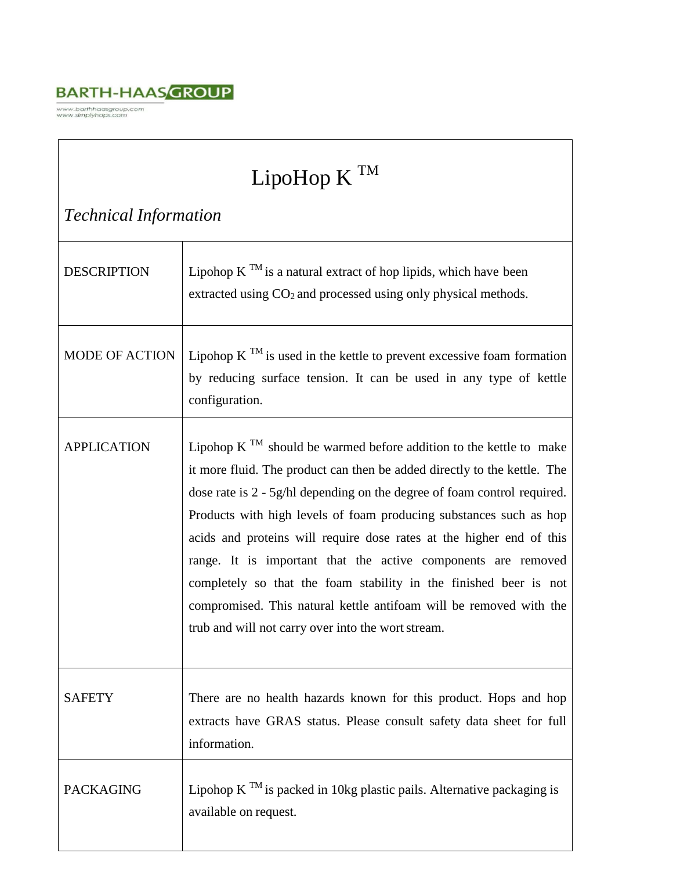## **BARTH-HAAS GROUP**

-<br>www.barthhaasgroup.com<br>www.simplyhops.com

## LipoHop K  $^{TM}$

## *Technical Information*

| <b>DESCRIPTION</b>    | Lipohop $K^{TM}$ is a natural extract of hop lipids, which have been<br>extracted using CO <sub>2</sub> and processed using only physical methods.                                                                                                                                                                                                                                                                                                                                                                                                                                                                                              |
|-----------------------|-------------------------------------------------------------------------------------------------------------------------------------------------------------------------------------------------------------------------------------------------------------------------------------------------------------------------------------------------------------------------------------------------------------------------------------------------------------------------------------------------------------------------------------------------------------------------------------------------------------------------------------------------|
| <b>MODE OF ACTION</b> | Lipohop K <sup>TM</sup> is used in the kettle to prevent excessive foam formation<br>by reducing surface tension. It can be used in any type of kettle<br>configuration.                                                                                                                                                                                                                                                                                                                                                                                                                                                                        |
| <b>APPLICATION</b>    | Lipohop $K^{TM}$ should be warmed before addition to the kettle to make<br>it more fluid. The product can then be added directly to the kettle. The<br>dose rate is 2 - 5g/hl depending on the degree of foam control required.<br>Products with high levels of foam producing substances such as hop<br>acids and proteins will require dose rates at the higher end of this<br>range. It is important that the active components are removed<br>completely so that the foam stability in the finished beer is not<br>compromised. This natural kettle antifoam will be removed with the<br>trub and will not carry over into the wort stream. |
| <b>SAFETY</b>         | There are no health hazards known for this product. Hops and hop<br>extracts have GRAS status. Please consult safety data sheet for full<br>information.                                                                                                                                                                                                                                                                                                                                                                                                                                                                                        |
| <b>PACKAGING</b>      | Lipohop K <sup>TM</sup> is packed in 10kg plastic pails. Alternative packaging is<br>available on request.                                                                                                                                                                                                                                                                                                                                                                                                                                                                                                                                      |